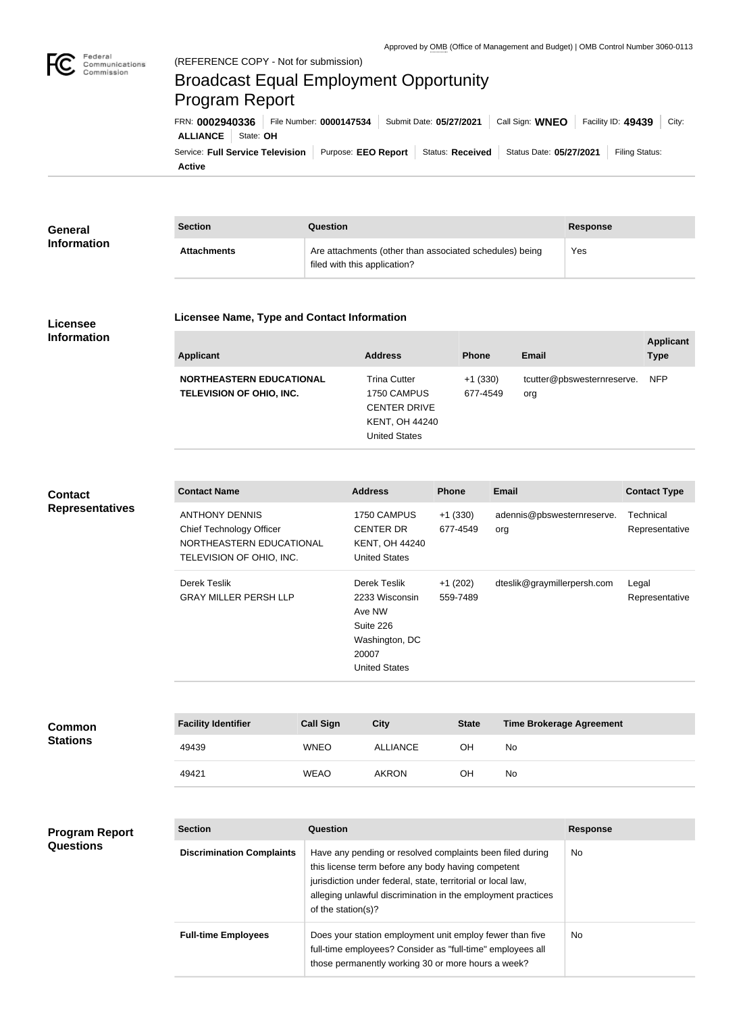

Federal

## Broadcast Equal Employment Opportunity Program Report

**Licensee Name, Type and Contact Information**

**Active** Service: Full Service Television | Purpose: EEO Report | Status: Received | Status Date: 05/27/2021 | Filing Status: **ALLIANCE** State: **OH** FRN: **0002940336** File Number: **0000147534** Submit Date: **05/27/2021** Call Sign: **WNEO** Facility ID: **49439** City:

| General<br><b>Information</b> | <b>Section</b>     | Question                                                                                | Response |
|-------------------------------|--------------------|-----------------------------------------------------------------------------------------|----------|
|                               | <b>Attachments</b> | Are attachments (other than associated schedules) being<br>filed with this application? | Yes      |

## **Licensee Information**

## **Applicant Address Phone Email Applicant Type NORTHEASTERN EDUCATIONAL TELEVISION OF OHIO, INC.** Trina Cutter 1750 CAMPUS CENTER DRIVE KENT, OH 44240 +1 (330) 677-4549 tcutter@pbswesternreserve. org NFP

United States

**Contact Representatives**

**Questions**

| <b>Contact Name</b>                                                                                              | <b>Address</b>                                                                                           | <b>Phone</b>          | <b>Email</b>                      | <b>Contact Type</b>         |
|------------------------------------------------------------------------------------------------------------------|----------------------------------------------------------------------------------------------------------|-----------------------|-----------------------------------|-----------------------------|
| <b>ANTHONY DENNIS</b><br><b>Chief Technology Officer</b><br>NORTHEASTERN EDUCATIONAL<br>TELEVISION OF OHIO, INC. | 1750 CAMPUS<br><b>CENTER DR</b><br><b>KENT, OH 44240</b><br><b>United States</b>                         | $+1(330)$<br>677-4549 | adennis@pbswesternreserve.<br>org | Technical<br>Representative |
| Derek Teslik<br><b>GRAY MILLER PERSH LLP</b>                                                                     | Derek Teslik<br>2233 Wisconsin<br>Ave NW<br>Suite 226<br>Washington, DC<br>20007<br><b>United States</b> | $+1(202)$<br>559-7489 | dteslik@graymillerpersh.com       | Legal<br>Representative     |

| <b>Common</b><br><b>Stations</b> | <b>Facility Identifier</b> | <b>Call Sign</b> | <b>City</b>  | <b>State</b> | <b>Time Brokerage Agreement</b> |
|----------------------------------|----------------------------|------------------|--------------|--------------|---------------------------------|
|                                  | 49439                      | <b>WNEO</b>      | ALLIANCE     | OН           | No                              |
|                                  | 49421                      | <b>WEAO</b>      | <b>AKRON</b> | OН           | No                              |

## **Section Question Response Discrimination Complaints** | Have any pending or resolved complaints been filed during this license term before any body having competent jurisdiction under federal, state, territorial or local law, alleging unlawful discrimination in the employment practices of the station(s)? No **Full-time Employees** Does your station employment unit employ fewer than five full-time employees? Consider as "full-time" employees all those permanently working 30 or more hours a week? No **Program Report**